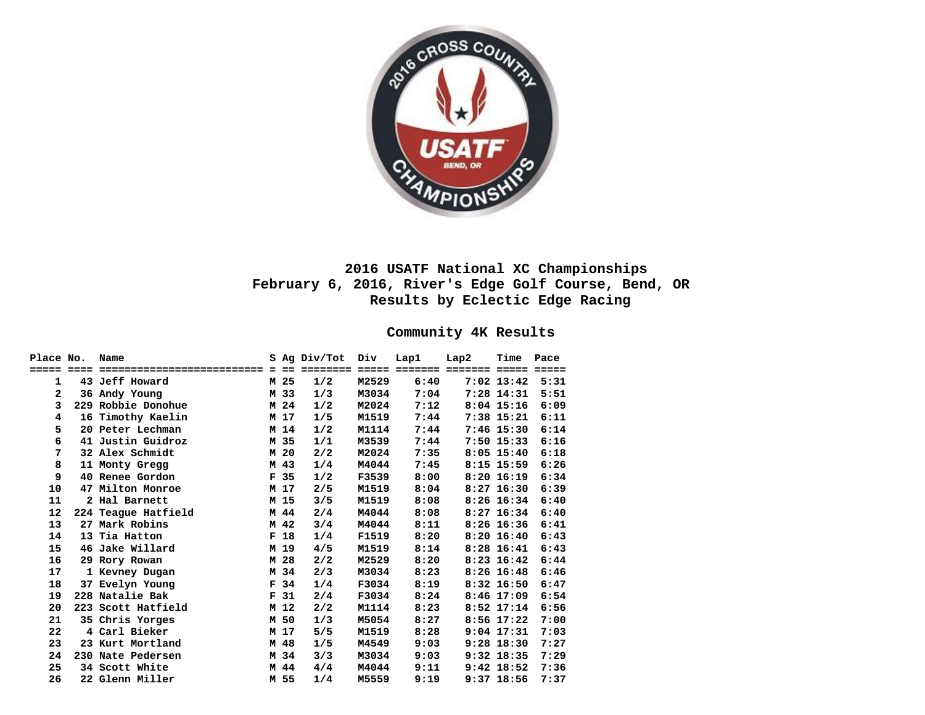

# **2016 USATF National XC Championships February 6, 2016, River's Edge Golf Course, Bend, OR Results by Eclectic Edge Racing**

## **Community 4K Results**

| Place No.      | Name                |                 | S Ag Div/Tot | Div   | Lap1 | Lap2 | Time         | Pace |
|----------------|---------------------|-----------------|--------------|-------|------|------|--------------|------|
|                |                     |                 |              |       |      |      |              |      |
| 1              | 43 Jeff Howard      | M 25            | 1/2          | M2529 | 6:40 |      | $7:02$ 13:42 | 5:31 |
| $\overline{a}$ | 36 Andy Young       | M 33            | 1/3          | M3034 | 7:04 |      | $7:28$ 14:31 | 5:51 |
| 3              | 229 Robbie Donohue  | M 24            | 1/2          | M2024 | 7:12 |      | $8:04$ 15:16 | 6:09 |
| 4              | 16 Timothy Kaelin   | M 17            | 1/5          | M1519 | 7:44 |      | 7:38 15:21   | 6:11 |
| 5              | 20 Peter Lechman    | M 14            | 1/2          | M1114 | 7:44 |      | $7:46$ 15:30 | 6:14 |
| 6              | 41 Justin Guidroz   | M 35            | 1/1          | M3539 | 7:44 |      | $7:50$ 15:33 | 6:16 |
| 7              | 32 Alex Schmidt     | M 20            | 2/2          | M2024 | 7:35 |      | $8:05$ 15:40 | 6:18 |
| 8              | 11 Monty Gregg      | M 43            | 1/4          | M4044 | 7:45 |      | $8:15$ 15:59 | 6:26 |
| 9              | 40 Renee Gordon     | F 35            | 1/2          | F3539 | 8:00 |      | $8:20$ 16:19 | 6:34 |
| 10             | 47 Milton Monroe    | M 17            | 2/5          | M1519 | 8:04 |      | $8:27$ 16:30 | 6:39 |
| 11             | 2 Hal Barnett       | M 15            | 3/5          | M1519 | 8:08 |      | $8:26$ 16:34 | 6:40 |
| 12             | 224 Teague Hatfield | M 44            | 2/4          | M4044 | 8:08 |      | $8:27$ 16:34 | 6:40 |
| 13             | 27 Mark Robins      | M 42            | 3/4          | M4044 | 8:11 |      | $8:26$ 16:36 | 6:41 |
| 14             | 13 Tia Hatton       | F <sub>18</sub> | 1/4          | F1519 | 8:20 |      | $8:20$ 16:40 | 6:43 |
| 15             | 46 Jake Willard     | M 19            | 4/5          | M1519 | 8:14 |      | $8:28$ 16:41 | 6:43 |
| 16             | 29 Rory Rowan       | M 28            | 2/2          | M2529 | 8:20 |      | $8:23$ 16:42 | 6:44 |
| 17             | 1 Kevney Dugan      | M 34            | 2/3          | M3034 | 8:23 |      | $8:26$ 16:48 | 6:46 |
| 18             | 37 Evelyn Young     | F 34            | 1/4          | F3034 | 8:19 |      | $8:32$ 16:50 | 6:47 |
| 19             | 228 Natalie Bak     | F <sub>31</sub> | 2/4          | F3034 | 8:24 |      | $8:46$ 17:09 | 6:54 |
| 20             | 223 Scott Hatfield  | M 12            | 2/2          | M1114 | 8:23 |      | $8:52$ 17:14 | 6:56 |
| 21             | 35 Chris Yorges     | M 50            | 1/3          | M5054 | 8:27 |      | $8:56$ 17:22 | 7:00 |
| 22             | 4 Carl Bieker       | M 17            | 5/5          | M1519 | 8:28 |      | $9:04$ 17:31 | 7:03 |
| 23             | 23 Kurt Mortland    | M 48            | 1/5          | M4549 | 9:03 |      | $9:28$ 18:30 | 7:27 |
| 24             | 230 Nate Pedersen   | M 34            | 3/3          | M3034 | 9:03 |      | $9:32$ 18:35 | 7:29 |
| 25             | 34 Scott White      | M 44            | 4/4          | M4044 | 9:11 |      | $9:42$ 18:52 | 7:36 |
| 26             | 22 Glenn Miller     | M 55            | 1/4          | M5559 | 9:19 |      | $9:37$ 18:56 | 7:37 |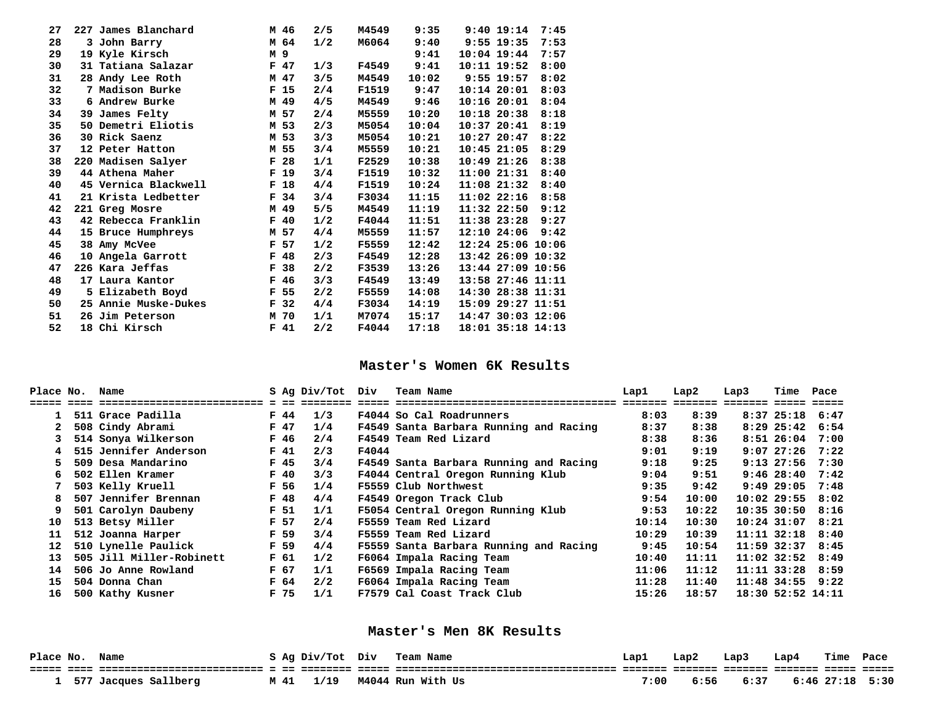|  |                                                                                                                                                                                                                                                                                                                                                                                                                                                                                                                                    |    | 2/5                                                                                                                                                                                                                                                          | M4549        | 9:35  |  | 7:45                                                                                                                                                                                                                                                                                                                                                                                                                                                                                       |
|--|------------------------------------------------------------------------------------------------------------------------------------------------------------------------------------------------------------------------------------------------------------------------------------------------------------------------------------------------------------------------------------------------------------------------------------------------------------------------------------------------------------------------------------|----|--------------------------------------------------------------------------------------------------------------------------------------------------------------------------------------------------------------------------------------------------------------|--------------|-------|--|--------------------------------------------------------------------------------------------------------------------------------------------------------------------------------------------------------------------------------------------------------------------------------------------------------------------------------------------------------------------------------------------------------------------------------------------------------------------------------------------|
|  |                                                                                                                                                                                                                                                                                                                                                                                                                                                                                                                                    |    | 1/2                                                                                                                                                                                                                                                          | M6064        | 9:40  |  | 7:53                                                                                                                                                                                                                                                                                                                                                                                                                                                                                       |
|  |                                                                                                                                                                                                                                                                                                                                                                                                                                                                                                                                    |    |                                                                                                                                                                                                                                                              |              | 9:41  |  | 7:57                                                                                                                                                                                                                                                                                                                                                                                                                                                                                       |
|  |                                                                                                                                                                                                                                                                                                                                                                                                                                                                                                                                    |    | 1/3                                                                                                                                                                                                                                                          | F4549        | 9:41  |  | 8:00                                                                                                                                                                                                                                                                                                                                                                                                                                                                                       |
|  |                                                                                                                                                                                                                                                                                                                                                                                                                                                                                                                                    |    | 3/5                                                                                                                                                                                                                                                          | M4549        | 10:02 |  | 8:02                                                                                                                                                                                                                                                                                                                                                                                                                                                                                       |
|  |                                                                                                                                                                                                                                                                                                                                                                                                                                                                                                                                    |    | 2/4                                                                                                                                                                                                                                                          | F1519        | 9:47  |  | 8:03                                                                                                                                                                                                                                                                                                                                                                                                                                                                                       |
|  |                                                                                                                                                                                                                                                                                                                                                                                                                                                                                                                                    |    | 4/5                                                                                                                                                                                                                                                          | M4549        | 9:46  |  | 8:04                                                                                                                                                                                                                                                                                                                                                                                                                                                                                       |
|  |                                                                                                                                                                                                                                                                                                                                                                                                                                                                                                                                    |    | 2/4                                                                                                                                                                                                                                                          | M5559        | 10:20 |  | 8:18                                                                                                                                                                                                                                                                                                                                                                                                                                                                                       |
|  |                                                                                                                                                                                                                                                                                                                                                                                                                                                                                                                                    |    | 2/3                                                                                                                                                                                                                                                          | M5054        | 10:04 |  | 8:19                                                                                                                                                                                                                                                                                                                                                                                                                                                                                       |
|  |                                                                                                                                                                                                                                                                                                                                                                                                                                                                                                                                    |    | 3/3                                                                                                                                                                                                                                                          | M5054        | 10:21 |  | 8:22                                                                                                                                                                                                                                                                                                                                                                                                                                                                                       |
|  |                                                                                                                                                                                                                                                                                                                                                                                                                                                                                                                                    |    | 3/4                                                                                                                                                                                                                                                          | M5559        | 10:21 |  | 8:29                                                                                                                                                                                                                                                                                                                                                                                                                                                                                       |
|  |                                                                                                                                                                                                                                                                                                                                                                                                                                                                                                                                    |    | 1/1                                                                                                                                                                                                                                                          | F2529        | 10:38 |  | 8:38                                                                                                                                                                                                                                                                                                                                                                                                                                                                                       |
|  |                                                                                                                                                                                                                                                                                                                                                                                                                                                                                                                                    |    | 3/4                                                                                                                                                                                                                                                          | <b>F1519</b> | 10:32 |  | 8:40                                                                                                                                                                                                                                                                                                                                                                                                                                                                                       |
|  |                                                                                                                                                                                                                                                                                                                                                                                                                                                                                                                                    |    | 4/4                                                                                                                                                                                                                                                          | F1519        | 10:24 |  | 8:40                                                                                                                                                                                                                                                                                                                                                                                                                                                                                       |
|  |                                                                                                                                                                                                                                                                                                                                                                                                                                                                                                                                    |    | 3/4                                                                                                                                                                                                                                                          | F3034        | 11:15 |  | 8:58                                                                                                                                                                                                                                                                                                                                                                                                                                                                                       |
|  |                                                                                                                                                                                                                                                                                                                                                                                                                                                                                                                                    |    | 5/5                                                                                                                                                                                                                                                          | M4549        | 11:19 |  | 9:12                                                                                                                                                                                                                                                                                                                                                                                                                                                                                       |
|  |                                                                                                                                                                                                                                                                                                                                                                                                                                                                                                                                    |    | 1/2                                                                                                                                                                                                                                                          | F4044        | 11:51 |  | 9:27                                                                                                                                                                                                                                                                                                                                                                                                                                                                                       |
|  |                                                                                                                                                                                                                                                                                                                                                                                                                                                                                                                                    |    | 4/4                                                                                                                                                                                                                                                          | M5559        | 11:57 |  | 9:42                                                                                                                                                                                                                                                                                                                                                                                                                                                                                       |
|  |                                                                                                                                                                                                                                                                                                                                                                                                                                                                                                                                    |    | 1/2                                                                                                                                                                                                                                                          | F5559        | 12:42 |  |                                                                                                                                                                                                                                                                                                                                                                                                                                                                                            |
|  | $\mathbf{F}$                                                                                                                                                                                                                                                                                                                                                                                                                                                                                                                       |    | 2/3                                                                                                                                                                                                                                                          | F4549        | 12:28 |  |                                                                                                                                                                                                                                                                                                                                                                                                                                                                                            |
|  | F                                                                                                                                                                                                                                                                                                                                                                                                                                                                                                                                  | 38 | 2/2                                                                                                                                                                                                                                                          | F3539        | 13:26 |  |                                                                                                                                                                                                                                                                                                                                                                                                                                                                                            |
|  |                                                                                                                                                                                                                                                                                                                                                                                                                                                                                                                                    |    | 3/3                                                                                                                                                                                                                                                          | F4549        | 13:49 |  |                                                                                                                                                                                                                                                                                                                                                                                                                                                                                            |
|  |                                                                                                                                                                                                                                                                                                                                                                                                                                                                                                                                    |    | 2/2                                                                                                                                                                                                                                                          | F5559        | 14:08 |  |                                                                                                                                                                                                                                                                                                                                                                                                                                                                                            |
|  |                                                                                                                                                                                                                                                                                                                                                                                                                                                                                                                                    |    | 4/4                                                                                                                                                                                                                                                          | F3034        | 14:19 |  |                                                                                                                                                                                                                                                                                                                                                                                                                                                                                            |
|  |                                                                                                                                                                                                                                                                                                                                                                                                                                                                                                                                    |    | 1/1                                                                                                                                                                                                                                                          | M7074        | 15:17 |  |                                                                                                                                                                                                                                                                                                                                                                                                                                                                                            |
|  |                                                                                                                                                                                                                                                                                                                                                                                                                                                                                                                                    |    | 2/2                                                                                                                                                                                                                                                          | F4044        | 17:18 |  |                                                                                                                                                                                                                                                                                                                                                                                                                                                                                            |
|  | 227 James Blanchard<br>3 John Barry<br>19 Kyle Kirsch<br>31 Tatiana Salazar<br>28 Andy Lee Roth<br>7 Madison Burke<br>6 Andrew Burke<br>39 James Felty<br>50 Demetri Eliotis<br>30 Rick Saenz<br>12 Peter Hatton<br>220 Madisen Salyer<br>44 Athena Maher<br>45 Vernica Blackwell<br>21 Krista Ledbetter<br>221 Greg Mosre<br>42 Rebecca Franklin<br>15 Bruce Humphreys<br>38 Amy McVee<br>10 Angela Garrott<br>226 Kara Jeffas<br>17 Laura Kantor<br>5 Elizabeth Boyd<br>25 Annie Muske-Dukes<br>26 Jim Peterson<br>18 Chi Kirsch |    | M 46<br>M 64<br>M 9<br>F 47<br>M 47<br>F <sub>15</sub><br>M 49<br>M 57<br>M 53<br>M 53<br>M 55<br>F <sub>28</sub><br>F <sub>19</sub><br>F <sub>18</sub><br>F 34<br>M 49<br>F40<br>M 57<br>F 57<br>48<br>$\mathbf{F}$<br>46<br>F 55<br>F 32<br>M 70<br>$F$ 41 |              |       |  | $9:40$ 19:14<br>$9:55$ 19:35<br>$10:04$ 19:44<br>$10:11$ $19:52$<br>$9:55$ 19:57<br>$10:14$ $20:01$<br>$10:16$ $20:01$<br>$10:18$ $20:38$<br>$10:37$ $20:41$<br>$10:27$ 20:47<br>$10:45$ 21:05<br>$10:49$ $21:26$<br>11:0021:31<br>$11:08$ $21:32$<br>$11:02$ $22:16$<br>11:32 22:50<br>11:38 23:28<br>12:10 24:06<br>12:24 25:06 10:06<br>13:42 26:09 10:32<br>13:44 27:09 10:56<br>13:58 27:46 11:11<br>14:30 28:38 11:31<br>15:09 29:27 11:51<br>14:47 30:03 12:06<br>18:01 35:18 14:13 |

#### **Master's Women 6K Results**

| Place No. | Name                     |      |                 | S Ag Div/Tot Div |       | Team Name                                                                                                     | Lap1  | Lap2  | Lap3                 | Time Pace              |      |
|-----------|--------------------------|------|-----------------|------------------|-------|---------------------------------------------------------------------------------------------------------------|-------|-------|----------------------|------------------------|------|
|           |                          |      |                 |                  |       | titit 1656 Statistististististististi 1 56 Septist 1665 Statistististististististististististi 165666 Statist |       |       | ======== ===== ===== |                        |      |
| 1         | 511 Grace Padilla        |      | F 44            | 1/3              |       | F4044 So Cal Roadrunners                                                                                      | 8:03  | 8:39  |                      | 8:37 25:18 6:47        |      |
|           | 508 Cindy Abrami         |      | F 47            | 1/4              |       | F4549 Santa Barbara Running and Racing                                                                        | 8:37  | 8:38  |                      | 8:29 25:42 6:54        |      |
|           | 514 Sonya Wilkerson      |      | F 46            | 2/4              |       | F4549 Team Red Lizard                                                                                         | 8:38  | 8:36  |                      | $8:51$ $26:04$ $7:00$  |      |
|           | 515 Jennifer Anderson    |      | F 41            | 2/3              | F4044 |                                                                                                               | 9:01  | 9:19  |                      | $9:07$ 27:26 7:22      |      |
|           | 509 Desa Mandarino       |      | $F$ 45          | 3/4              |       | F4549 Santa Barbara Running and Racing                                                                        | 9:18  | 9:25  |                      | $9:13$ 27:56 7:30      |      |
| 6.        | 502 Ellen Kramer         |      | F40             | 3/3              |       | F4044 Central Oregon Running Klub                                                                             | 9:04  | 9:51  |                      | 9:46~~28:40            | 7:42 |
|           | 503 Kelly Kruell         |      | F 56            | 1/4              |       | F5559 Club Northwest                                                                                          | 9:35  | 9:42  |                      | $9:49$ 29:05           | 7:48 |
| 8         | 507 Jennifer Brennan     |      | F 48            | 4/4              |       | F4549 Oregon Track Club                                                                                       | 9:54  | 10:00 |                      | $10:02$ 29:55 8:02     |      |
| 9         | 501 Carolyn Daubeny      |      | F <sub>51</sub> | 1/1              |       | F5054 Central Oregon Running Klub                                                                             | 9:53  | 10:22 |                      | $10:35$ $30:50$ $8:16$ |      |
| 10        | 513 Betsy Miller         |      | F 57            | 2/4              |       | F5559 Team Red Lizard                                                                                         | 10:14 | 10:30 |                      | $10:24$ 31:07 8:21     |      |
| 11        | 512 Joanna Harper        |      | F 59            | 3/4              |       | F5559 Team Red Lizard                                                                                         | 10:29 | 10:39 |                      | $11:11$ $32:18$ $8:40$ |      |
| 12        | 510 Lynelle Paulick      | F 59 |                 | 4/4              |       | F5559 Santa Barbara Running and Racing                                                                        | 9:45  | 10:54 |                      | $11:59$ 32:37 8:45     |      |
| 13        | 505 Jill Miller-Robinett |      | F <sub>61</sub> | 1/2              |       | F6064 Impala Racing Team                                                                                      | 10:40 | 11:11 |                      | $11:02$ 32:52 8:49     |      |
| 14        | 506 Jo Anne Rowland      |      | F 67            | 1/1              |       | F6569 Impala Racing Team                                                                                      | 11:06 | 11:12 |                      | $11:11$ $33:28$ $8:59$ |      |
| 15        | 504 Donna Chan           |      | F 64            | 2/2              |       | F6064 Impala Racing Team                                                                                      | 11:28 | 11:40 |                      | $11:48$ 34:55 9:22     |      |
| 16        | 500 Kathy Kusner         |      | F 75            | 1/1              |       | F7579 Cal Coast Track Club                                                                                    | 15:26 | 18:57 |                      | 18:30 52:52 14:11      |      |

### **Master's Men 8K Results**

| Place No. | Name                 |      | S Ag Div/Tot Div | Team Name         | Lapl | Lap2 | Lap3 | Lap4 | Time              | Pace |
|-----------|----------------------|------|------------------|-------------------|------|------|------|------|-------------------|------|
|           |                      |      |                  |                   |      |      |      |      |                   |      |
|           | 577 Jacques Sallberg | M 41 | 1/19             | M4044 Run With Us | 7:00 | 6:56 | 6:37 |      | $6:46$ 27:18 5:30 |      |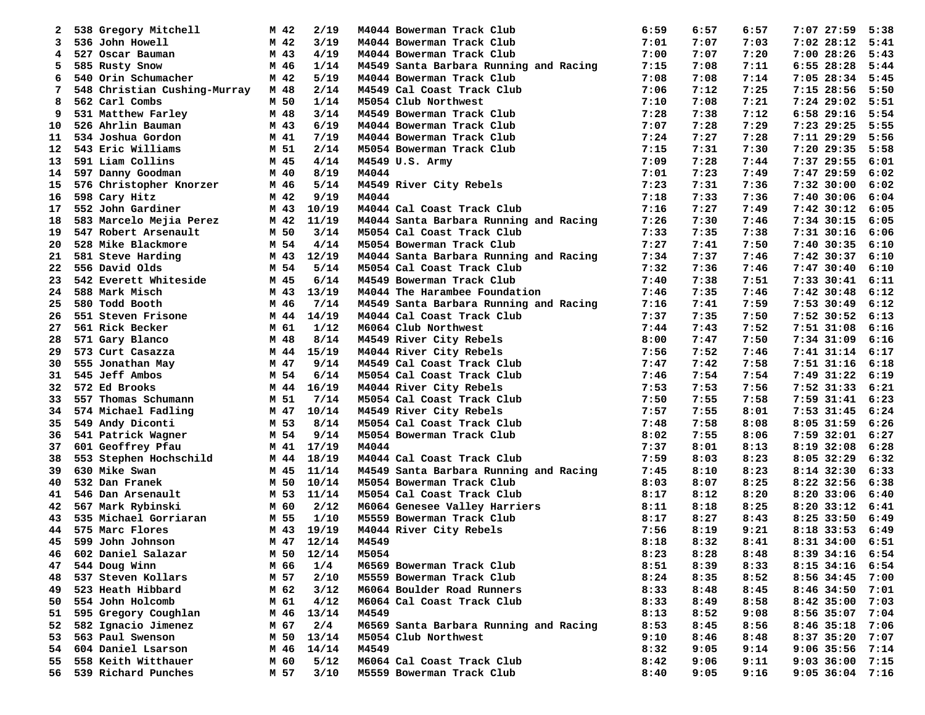| 2        | 538 Gregory Mitchell         | M 42         | 2/19  |       | M4044 Bowerman Track Club              | 6:59         | 6:57 | 6:57 | 7:07 27:59      | 5:38 |
|----------|------------------------------|--------------|-------|-------|----------------------------------------|--------------|------|------|-----------------|------|
| 3        | 536 John Howell              | M 42         | 3/19  |       | M4044 Bowerman Track Club              | 7:01         | 7:07 | 7:03 | $7:02$ 28:12    | 5:41 |
| 4        | 527 Oscar Bauman             | M 43         | 4/19  |       | M4044 Bowerman Track Club              | 7:00         | 7:07 | 7:20 | $7:00$ 28:26    | 5:43 |
| 5        | 585 Rusty Snow               | M 46         | 1/14  |       | M4549 Santa Barbara Running and Racing | 7:15         | 7:08 | 7:11 | $6:55$ 28:28    | 5:44 |
| 6        | 540 Orin Schumacher          | M 42         | 5/19  |       | M4044 Bowerman Track Club              | 7:08         | 7:08 | 7:14 | $7:05$ 28:34    | 5:45 |
| 7        | 548 Christian Cushing-Murray | M 48         | 2/14  |       | M4549 Cal Coast Track Club             | 7:06         | 7:12 | 7:25 | $7:15$ 28:56    | 5:50 |
| 8        | 562 Carl Combs               | M 50         | 1/14  |       | M5054 Club Northwest                   | 7:10         | 7:08 | 7:21 | $7:24$ 29:02    | 5:51 |
| 9        | 531 Matthew Farley           | M 48         | 3/14  |       | M4549 Bowerman Track Club              | 7:28         | 7:38 | 7:12 | 6:58 29:16      | 5:54 |
| 10       | 526 Ahrlin Bauman            | M 43         | 6/19  |       | M4044 Bowerman Track Club              | 7:07         | 7:28 | 7:29 | $7:23$ 29:25    | 5:55 |
| 11       | 534 Joshua Gordon            | M 41         | 7/19  |       | M4044 Bowerman Track Club              | 7:24         | 7:27 | 7:28 | $7:11$ $29:29$  | 5:56 |
| 12       | 543 Eric Williams            | M 51         | 2/14  |       | M5054 Bowerman Track Club              | 7:15         | 7:31 | 7:30 | $7:20$ 29:35    | 5:58 |
| 13       | 591 Liam Collins             | M 45         | 4/14  |       | M4549 U.S. Army                        | 7:09         | 7:28 | 7:44 | 7:37 29:55      | 6:01 |
| 14       | 597 Danny Goodman            | M 40         | 8/19  | M4044 |                                        | 7:01         | 7:23 | 7:49 | 7:47 29:59      | 6:02 |
| 15       | 576 Christopher Knorzer      | M 46         | 5/14  |       | M4549 River City Rebels                | 7:23         | 7:31 | 7:36 | $7:32$ 30:00    | 6:02 |
| 16       | 598 Cary Hitz                | M 42         | 9/19  | M4044 |                                        | 7:18         | 7:33 | 7:36 | $7:40$ 30:06    | 6:04 |
| 17       | 552 John Gardiner            | M 43         | 10/19 |       | M4044 Cal Coast Track Club             | 7:16         | 7:27 | 7:49 | $7:42$ 30:12    | 6:05 |
| 18       | 583 Marcelo Mejia Perez      | M 42         | 11/19 |       | M4044 Santa Barbara Running and Racing | 7:26         | 7:30 | 7:46 | $7:34$ 30:15    | 6:05 |
| 19       | 547 Robert Arsenault         | M 50         | 3/14  |       | M5054 Cal Coast Track Club             | 7:33         | 7:35 | 7:38 | $7:31$ $30:16$  | 6:06 |
| 20       | 528 Mike Blackmore           | M 54         | 4/14  |       | M5054 Bowerman Track Club              | 7:27         | 7:41 | 7:50 | $7:40$ 30:35    | 6:10 |
| 21       | 581 Steve Harding            | M 43         | 12/19 |       | M4044 Santa Barbara Running and Racing | 7:34         | 7:37 | 7:46 | $7:42$ 30:37    | 6:10 |
| 22       | 556 David Olds               | M 54         | 5/14  |       | M5054 Cal Coast Track Club             | 7:32         | 7:36 | 7:46 | $7:47$ 30:40    | 6:10 |
| 23       | 542 Everett Whiteside        | M 45         | 6/14  |       | M4549 Bowerman Track Club              | 7:40         | 7:38 | 7:51 | $7:33$ $30:41$  | 6:11 |
| 24       | 588 Mark Misch               | M 43         | 13/19 |       | M4044 The Harambee Foundation          | 7:46         | 7:35 | 7:46 | $7:42$ 30:48    | 6:12 |
| 25       | 580 Todd Booth               | M 46         | 7/14  |       | M4549 Santa Barbara Running and Racing | 7:16         | 7:41 | 7:59 | $7:53$ 30:49    | 6:12 |
| 26       | 551 Steven Frisone           | M 44         | 14/19 |       | M4044 Cal Coast Track Club             | 7:37         | 7:35 | 7:50 | $7:52$ 30:52    | 6:13 |
| 27       | 561 Rick Becker              | M 61         | 1/12  |       | M6064 Club Northwest                   | 7:44         | 7:43 | 7:52 | $7:51$ 31:08    | 6:16 |
| 28       | 571 Gary Blanco              | M 48         | 8/14  |       | M4549 River City Rebels                | 8:00         | 7:47 | 7:50 | $7:34$ 31:09    | 6:16 |
| 29       | 573 Curt Casazza             | M 44         | 15/19 |       | M4044 River City Rebels                | 7:56         | 7:52 | 7:46 | 7:41 31:14      | 6:17 |
| 30       | 555 Jonathan May             | M 47         | 9/14  |       | M4549 Cal Coast Track Club             | 7:47         | 7:42 | 7:58 | $7:51$ $31:16$  | 6:18 |
| 31       | 545 Jeff Ambos               | M 54         | 6/14  |       | M5054 Cal Coast Track Club             | 7:46         | 7:54 | 7:54 | 7:49 31:22      | 6:19 |
| 32       | 572 Ed Brooks                | M 44         | 16/19 |       | M4044 River City Rebels                | 7:53         | 7:53 | 7:56 | 7:52 31:33      | 6:21 |
| 33       | 557 Thomas Schumann          | M 51         | 7/14  |       | M5054 Cal Coast Track Club             | 7:50         | 7:55 | 7:58 | $7:59$ $31:41$  | 6:23 |
| 34       | 574 Michael Fadling          | M 47         | 10/14 |       | M4549 River City Rebels                | 7:57         | 7:55 | 8:01 | 7:53 31:45      | 6:24 |
| 35       | 549 Andy Diconti             | M 53         | 8/14  |       | M5054 Cal Coast Track Club             | 7:48         | 7:58 | 8:08 | $8:05$ 31:59    | 6:26 |
| 36       | 541 Patrick Wagner           | M 54         | 9/14  |       | M5054 Bowerman Track Club              | 8:02         | 7:55 | 8:06 | $7:59$ 32:01    | 6:27 |
|          | 601 Geoffrey Pfau            |              | 17/19 | M4044 |                                        |              | 8:01 | 8:13 | $8:19$ 32:08    | 6:28 |
| 37<br>38 | 553 Stephen Hochschild       | M 41<br>M 44 | 18/19 |       | M4044 Cal Coast Track Club             | 7:37<br>7:59 | 8:03 | 8:23 | 8:05 32:29      | 6:32 |
| 39       | 630 Mike Swan                | M 45         | 11/14 |       | M4549 Santa Barbara Running and Racing | 7:45         | 8:10 | 8:23 | $8:14$ 32:30    | 6:33 |
| 40       | 532 Dan Franek               | M 50         | 10/14 |       | M5054 Bowerman Track Club              | 8:03         | 8:07 | 8:25 | $8:22$ 32:56    | 6:38 |
| 41       | 546 Dan Arsenault            | M 53         | 11/14 |       | M5054 Cal Coast Track Club             | 8:17         | 8:12 | 8:20 | $8:20$ 33:06    | 6:40 |
| 42       | 567 Mark Rybinski            | M 60         | 2/12  |       | M6064 Genesee Valley Harriers          | 8:11         | 8:18 | 8:25 | $8:20$ 33:12    | 6:41 |
|          | 535 Michael Gorriaran        |              | 1/10  |       | M5559 Bowerman Track Club              | 8:17         | 8:27 | 8:43 | $8:25$ 33:50    | 6:49 |
| 43<br>44 | 575 Marc Flores              | M 55         |       |       | M4044 River City Rebels                | 7:56         | 8:19 |      |                 | 6:49 |
|          |                              | M 43         | 19/19 |       |                                        |              | 8:32 | 9:21 | 8:18 33:53      |      |
| 45       | 599 John Johnson             | M 47         | 12/14 | M4549 |                                        | 8:18         |      | 8:41 | 8:31 34:00      | 6:51 |
| 46       | 602 Daniel Salazar           | M 50         | 12/14 | M5054 |                                        | 8:23         | 8:28 | 8:48 | 8:39 34:16      | 6:54 |
| 47       | 544 Doug Winn                | M 66         | 1/4   |       | M6569 Bowerman Track Club              | 8:51         | 8:39 | 8:33 | 8:15 34:16      | 6:54 |
| 48       | 537 Steven Kollars           | M 57         | 2/10  |       | M5559 Bowerman Track Club              | 8:24         | 8:35 | 8:52 | 8:56 34:45 7:00 |      |
| 49       | 523 Heath Hibbard            | M 62         | 3/12  |       | M6064 Boulder Road Runners             | 8:33         | 8:48 | 8:45 | $8:46$ 34:50    | 7:01 |
| 50       | 554 John Holcomb             | M 61         | 4/12  |       | M6064 Cal Coast Track Club             | 8:33         | 8:49 | 8:58 | $8:42$ 35:00    | 7:03 |
| 51       | 595 Gregory Coughlan         | M 46         | 13/14 | M4549 |                                        | 8:13         | 8:52 | 9:08 | $8:56$ 35:07    | 7:04 |
| 52       | 582 Ignacio Jimenez          | M 67         | 2/4   |       | M6569 Santa Barbara Running and Racing | 8:53         | 8:45 | 8:56 | $8:46$ 35:18    | 7:06 |
| 53       | 563 Paul Swenson             | M 50         | 13/14 |       | M5054 Club Northwest                   | 9:10         | 8:46 | 8:48 | $8:37$ 35:20    | 7:07 |
| 54       | 604 Daniel Lsarson           | M 46         | 14/14 | M4549 |                                        | 8:32         | 9:05 | 9:14 | $9:06$ 35:56    | 7:14 |
| 55       | 558 Keith Witthauer          | M 60         | 5/12  |       | M6064 Cal Coast Track Club             | 8:42         | 9:06 | 9:11 | 9:03 36:00 7:15 |      |
| 56 -     | 539 Richard Punches          | M 57         | 3/10  |       | M5559 Bowerman Track Club              | 8:40         | 9:05 | 9:16 | 9:05 36:04 7:16 |      |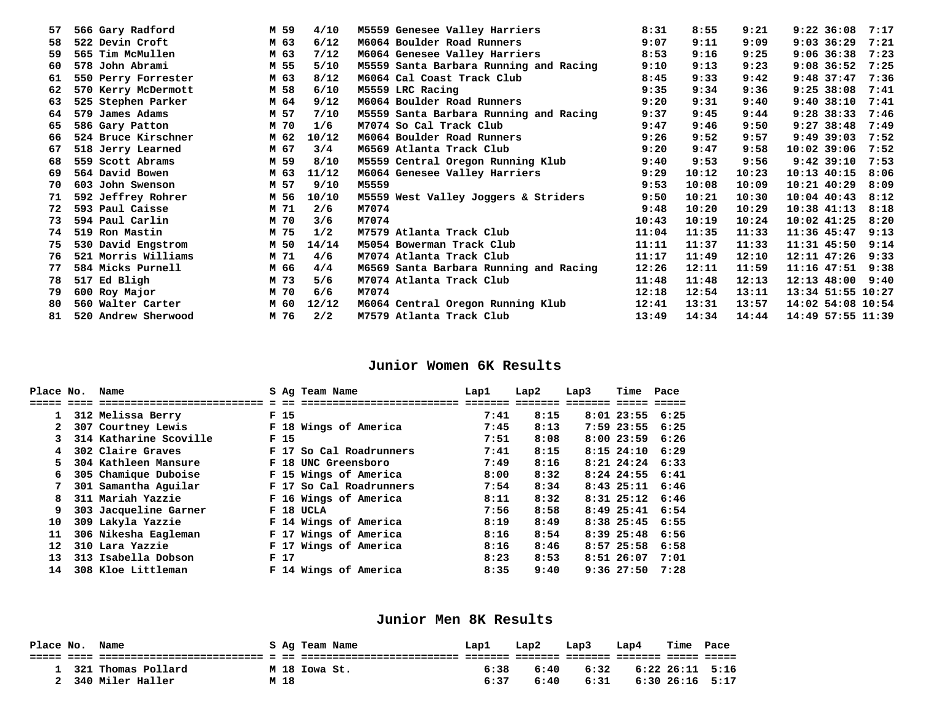| 57 | 566 Gary Radford    | M 59 | 4/10   | M5559 Genesee Valley Harriers          | 8:31  | 8:55  | 9:21  | $9:22$ 36:08      | 7:17 |
|----|---------------------|------|--------|----------------------------------------|-------|-------|-------|-------------------|------|
| 58 | 522 Devin Croft     | M 63 | 6/12   | M6064 Boulder Road Runners             | 9:07  | 9:11  | 9:09  | $9:03$ 36:29      | 7:21 |
| 59 | 565 Tim McMullen    | M 63 | 7/12   | M6064 Genesee Valley Harriers          | 8:53  | 9:16  | 9:25  | $9:06$ 36:38      | 7:23 |
| 60 | 578 John Abrami     | M 55 | $5/10$ | M5559 Santa Barbara Running and Racing | 9:10  | 9:13  | 9:23  | $9:08$ 36:52      | 7:25 |
| 61 | 550 Perry Forrester | M 63 | 8/12   | M6064 Cal Coast Track Club             | 8:45  | 9:33  | 9:42  | $9:48$ 37:47      | 7:36 |
| 62 | 570 Kerry McDermott | M 58 | 6/10   | M5559 LRC Racing                       | 9:35  | 9:34  | 9:36  | $9:25$ 38:08      | 7:41 |
| 63 | 525 Stephen Parker  | M 64 | 9/12   | M6064 Boulder Road Runners             | 9:20  | 9:31  | 9:40  | $9:40$ $38:10$    | 7:41 |
| 64 | 579 James Adams     | M 57 | 7/10   | M5559 Santa Barbara Running and Racing | 9:37  | 9:45  | 9:44  | $9:28$ 38:33      | 7:46 |
| 65 | 586 Gary Patton     | M 70 | 1/6    | M7074 So Cal Track Club                | 9:47  | 9:46  | 9:50  | $9:27$ 38:48      | 7:49 |
| 66 | 524 Bruce Kirschner | M 62 | 10/12  | M6064 Boulder Road Runners             | 9:26  | 9:52  | 9:57  | $9:49$ 39:03      | 7:52 |
| 67 | 518 Jerry Learned   | M 67 | 3/4    | M6569 Atlanta Track Club               | 9:20  | 9:47  | 9:58  | $10:02$ 39:06     | 7:52 |
| 68 | 559 Scott Abrams    | M 59 | 8/10   | M5559 Central Oregon Running Klub      | 9:40  | 9:53  | 9:56  | $9:42$ 39:10      | 7:53 |
| 69 | 564 David Bowen     | M 63 | 11/12  | M6064 Genesee Valley Harriers          | 9:29  | 10:12 | 10:23 | $10:13$ $40:15$   | 8:06 |
| 70 | 603 John Swenson    | M 57 | 9/10   | M5559                                  | 9:53  | 10:08 | 10:09 | $10:21$ $40:29$   | 8:09 |
| 71 | 592 Jeffrey Rohrer  | M 56 | 10/10  | M5559 West Valley Joggers & Striders   | 9:50  | 10:21 | 10:30 | $10:04$ 40:43     | 8:12 |
| 72 | 593 Paul Caisse     | M 71 | 2/6    | M7074                                  | 9:48  | 10:20 | 10:29 | $10:38$ $41:13$   | 8:18 |
| 73 | 594 Paul Carlin     | M 70 | 3/6    | M7074                                  | 10:43 | 10:19 | 10:24 | $10:02$ $41:25$   | 8:20 |
| 74 | 519 Ron Mastin      | M 75 | 1/2    | M7579 Atlanta Track Club               | 11:04 | 11:35 | 11:33 | $11:36$ 45:47     | 9:13 |
| 75 | 530 David Engstrom  | M 50 | 14/14  | M5054 Bowerman Track Club              | 11:11 | 11:37 | 11:33 | 11:31 45:50 9:14  |      |
| 76 | 521 Morris Williams | M 71 | 4/6    | M7074 Atlanta Track Club               | 11:17 | 11:49 | 12:10 | $12:11$ $47:26$   | 9:33 |
| 77 | 584 Micks Purnell   | M 66 | 4/4    | M6569 Santa Barbara Running and Racing | 12:26 | 12:11 | 11:59 | 11:16 47:51 9:38  |      |
| 78 | 517 Ed Bligh        | M 73 | 5/6    | M7074 Atlanta Track Club               | 11:48 | 11:48 | 12:13 | 12:13 48:00 9:40  |      |
| 79 | 600 Roy Major       | M 70 | 6/6    | M7074                                  | 12:18 | 12:54 | 13:11 | 13:34 51:55 10:27 |      |
| 80 | 560 Walter Carter   | M 60 | 12/12  | M6064 Central Oregon Running Klub      | 12:41 | 13:31 | 13:57 | 14:02 54:08 10:54 |      |
| 81 | 520 Andrew Sherwood | M 76 | 2/2    | M7579 Atlanta Track Club               | 13:49 | 14:34 | 14:44 | 14:49 57:55 11:39 |      |

## **Junior Women 6K Results**

| Place No.         | Name                    |                 | S Ag Team Name          | Lap1    | Lap2    | Lap3 | Time Pace             |      |
|-------------------|-------------------------|-----------------|-------------------------|---------|---------|------|-----------------------|------|
|                   | ======================= |                 |                         | ------- | ------- |      |                       |      |
| $\mathbf{1}$      | 312 Melissa Berry       | F <sub>15</sub> |                         | 7:41    | 8:15    |      | $8:01$ 23:55 6:25     |      |
|                   | 307 Courtney Lewis      |                 | F 18 Wings of America   | 7:45    | 8:13    |      | $7:59$ 23:55 6:25     |      |
|                   | 314 Katharine Scoville  | F <sub>15</sub> |                         | 7:51    | 8:08    |      | $8:00$ 23:59 6:26     |      |
| 4                 | 302 Claire Graves       |                 | F 17 So Cal Roadrunners | 7:41    | 8:15    |      | $8:15$ 24:10 $6:29$   |      |
| 5.                | 304 Kathleen Mansure    |                 | F 18 UNC Greensboro     | 7:49    | 8:16    |      | $8:21$ $24:24$ $6:33$ |      |
| б.                | 305 Chamique Duboise    |                 | F 15 Wings of America   | 8:00    | 8:32    |      | $8:24$ 24:55 6:41     |      |
|                   | 301 Samantha Aguilar    |                 | F 17 So Cal Roadrunners | 7:54    | 8:34    |      | $8:43$ $25:11$ $6:46$ |      |
| 8                 | 311 Mariah Yazzie       |                 | F 16 Wings of America   | 8:11    | 8:32    |      | $8:31$ $25:12$ $6:46$ |      |
| 9.                | 303 Jacqueline Garner   |                 | F 18 UCLA               | 7:56    | 8:58    |      | 8:49 25:41 6:54       |      |
| 10                | 309 Lakyla Yazzie       |                 | F 14 Wings of America   | 8:19    | 8:49    |      | $8:38$ 25:45 6:55     |      |
| 11                | 306 Nikesha Eagleman    |                 | F 17 Wings of America   | 8:16    | 8:54    |      | $8:39$ $25:48$        | 6:56 |
| $12 \overline{ }$ | 310 Lara Yazzie         |                 | F 17 Wings of America   | 8:16    | 8:46    |      | 8:57 25:58 6:58       |      |
| 13                | 313 Isabella Dobson     | F <sub>17</sub> |                         | 8:23    | 8:53    |      | 8:51 26:07 7:01       |      |
| 14                | 308 Kloe Littleman      |                 | F 14 Wings of America   | 8:35    | 9:40    |      | $9:36$ 27:50 7:28     |      |

## **Junior Men 8K Results**

| Place No. | Name               |      | S Ag Team Name | Lap1 | Lap2 | Lap3 | Lap4 | Time | Pace            |
|-----------|--------------------|------|----------------|------|------|------|------|------|-----------------|
|           |                    |      |                |      |      |      |      |      |                 |
|           | 321 Thomas Pollard |      | M 18 Iowa St.  | 6:38 | 6:40 | 6:32 |      |      | 6:22 26:11 5:16 |
|           | 340 Miler Haller   | M 18 |                | 6:37 | 6:40 | 6:31 |      |      | 6:30 26:16 5:17 |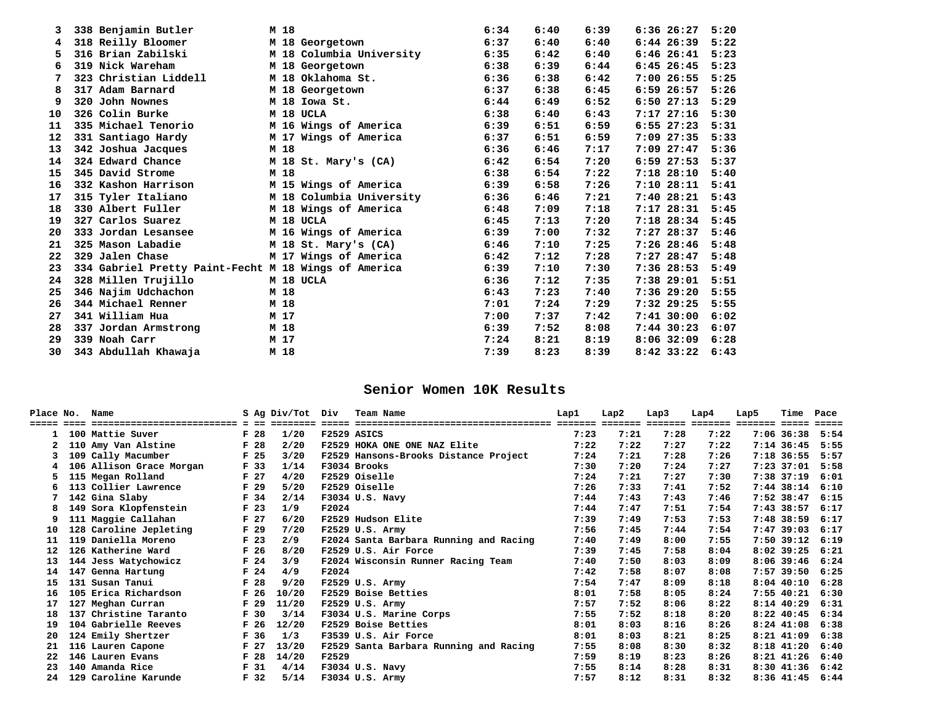|         | 338 Benjamin Butler                                                                                           | M 18 |                          | 6:34 | 6:40 | 6:39 | 6:3626:27      | 5:20 |
|---------|---------------------------------------------------------------------------------------------------------------|------|--------------------------|------|------|------|----------------|------|
| 4       | 318 Reilly Bloomer                                                                                            |      | M 18 Georgetown          | 6:37 | 6:40 | 6:40 | $6:44$ 26:39   | 5:22 |
| 5.      | 316 Brian Zabilski                                                                                            |      | M 18 Columbia University | 6:35 | 6:42 | 6:40 | 6:4626:41      | 5:23 |
| 6       | 319 Nick Wareham                                                                                              |      | M 18 Georgetown          | 6:38 | 6:39 | 6:44 | $6:45$ 26:45   | 5:23 |
|         | 323 Christian Liddell                                                                                         |      | M 18 Oklahoma St.        | 6:36 | 6:38 | 6:42 | $7:00$ 26:55   | 5:25 |
| 8       | 317 Adam Barnard                                                                                              |      | M 18 Georgetown          | 6:37 | 6:38 | 6:45 | $6:59$ 26:57   | 5:26 |
| 9       | 320 John Nownes                                                                                               |      | M 18 Iowa St.            | 6:44 | 6:49 | 6:52 | 6:5027:13      | 5:29 |
| 10      | 326 Colin Burke                                                                                               |      | M 18 UCLA                | 6:38 | 6:40 | 6:43 | 7:1727:16      | 5:30 |
| 11      | 335 Michael Tenorio                                                                                           |      | M 16 Wings of America    | 6:39 | 6:51 | 6:59 | $6:55$ $27:23$ | 5:31 |
| $12 \,$ | 331 Santiago Hardy                                                                                            |      | M 17 Wings of America    | 6:37 | 6:51 | 6:59 | $7:09$ 27:35   | 5:33 |
| 13      | 342 Joshua Jacques                                                                                            | M 18 |                          | 6:36 | 6:46 | 7:17 | $7:09$ 27:47   | 5:36 |
| 14      | 324 Edward Chance                                                                                             |      | M 18 St. Mary's (CA)     | 6:42 | 6:54 | 7:20 | $6:59$ 27:53   | 5:37 |
| 15      | 345 David Strome                                                                                              | M 18 |                          | 6:38 | 6:54 | 7:22 | $7:18$ 28:10   | 5:40 |
| 16      | 332 Kashon Harrison                                                                                           |      | M 15 Wings of America    | 6:39 | 6:58 | 7:26 | 7:1028:11      | 5:41 |
| 17      | 315 Tyler Italiano                                                                                            |      | M 18 Columbia University | 6:36 | 6:46 | 7:21 | 7:4028:21      | 5:43 |
| 18      | 330 Albert Fuller                                                                                             |      | M 18 Wings of America    | 6:48 | 7:09 | 7:18 | 7:1728:31      | 5:45 |
| 19      | 327 Carlos Suarez                                                                                             |      | M 18 UCLA                | 6:45 | 7:13 | 7:20 | $7:18$ 28:34   | 5:45 |
| 20      | 333 Jordan Lesansee                                                                                           |      | M 16 Wings of America    | 6:39 | 7:00 | 7:32 | $7:27$ 28:37   | 5:46 |
| 21      | 325 Mason Labadie                                                                                             |      | M 18 St. Mary's (CA)     | 6:46 | 7:10 | 7:25 | $7:26$ 28:46   | 5:48 |
| 22      | 329 Jalen Chase San Maria San Maria San Maria San Maria San Maria San Maria San Maria San Maria San Maria San |      | M 17 Wings of America    | 6:42 | 7:12 | 7:28 | $7:27$ 28:47   | 5:48 |
| 23      | 334 Gabriel Pretty Paint-Fecht M 18 Wings of America                                                          |      |                          | 6:39 | 7:10 | 7:30 | $7:36$ 28:53   | 5:49 |
| 24      | 328 Millen Trujillo                                                                                           |      | M 18 UCLA                | 6:36 | 7:12 | 7:35 | $7:38$ 29:01   | 5:51 |
| 25      | 346 Najim Udchachon                                                                                           | M 18 |                          | 6:43 | 7:23 | 7:40 | 7:3629:20      | 5:55 |
| 26      | 344 Michael Renner                                                                                            | M 18 |                          | 7:01 | 7:24 | 7:29 | $7:32$ 29:25   | 5:55 |
| 27      | 341 William Hua                                                                                               | M 17 |                          | 7:00 | 7:37 | 7:42 | $7:41$ 30:00   | 6:02 |
| 28      | 337 Jordan Armstrong                                                                                          | M 18 |                          | 6:39 | 7:52 | 8:08 | $7:44$ 30:23   | 6:07 |
| 29      | 339 Noah Carr                                                                                                 | M 17 |                          | 7:24 | 8:21 | 8:19 | $8:06$ 32:09   | 6:28 |
| 30      | 343 Abdullah Khawaja                                                                                          | M 18 |                          | 7:39 | 8:23 | 8:39 | $8:42$ 33:22   | 6:43 |

# **Senior Women 10K Results**

| Place No. | Name                     |                 | S Ag Div/Tot Div |       | Team Name                              | Lap1 | Lap2 | Lap3 | Lap4 | Lap5 | Time              | Pace              |
|-----------|--------------------------|-----------------|------------------|-------|----------------------------------------|------|------|------|------|------|-------------------|-------------------|
|           |                          |                 |                  |       |                                        |      |      |      |      |      |                   | $=$ $=$ $=$ $=$   |
|           | 100 Mattie Suver         | F <sub>28</sub> | 1/20             |       | F2529 ASICS                            | 7:23 | 7:21 | 7:28 | 7:22 |      | 7:06 36:38        | 5:54              |
|           | 110 Amy Van Alstine      | F <sub>28</sub> | 2/20             |       | F2529 HOKA ONE ONE NAZ Elite           | 7:22 | 7:22 | 7:27 | 7:22 |      | 7:14 36:45        | 5:55              |
|           | 109 Cally Macumber       | F <sub>25</sub> | 3/20             |       | F2529 Hansons-Brooks Distance Project  | 7:24 | 7:21 | 7:28 | 7:26 |      | 7:18 36:55        | 5:57              |
|           | 106 Allison Grace Morgan | F 33            | 1/14             |       | F3034 Brooks                           | 7:30 | 7:20 | 7:24 | 7:27 |      |                   | $7:23$ 37:01 5:58 |
| 5.        | 115 Megan Rolland        | F <sub>27</sub> | 4/20             |       | F2529 Oiselle                          | 7:24 | 7:21 | 7:27 | 7:30 |      | 7:38 37:19        | 6:01              |
| 6         | 113 Collier Lawrence     | F 29            | 5/20             |       | F2529 Oiselle                          | 7:26 | 7:33 | 7:41 | 7:52 |      |                   | 7:44 38:14 6:10   |
|           | 142 Gina Slaby           | F 34            | 2/14             |       | F3034 U.S. Navy                        | 7:44 | 7:43 | 7:43 | 7:46 |      | 7:52 38:47        | 6:15              |
| 8         | 149 Sora Klopfenstein    | F <sub>23</sub> | 1/9              | F2024 |                                        | 7:44 | 7:47 | 7:51 | 7:54 |      | 7:43 38:57        | 6:17              |
| 9         | 111 Maggie Callahan      | F <sub>27</sub> | 6/20             |       | F2529 Hudson Elite                     | 7:39 | 7:49 | 7:53 | 7:53 |      | 7:48 38:59        | 6:17              |
| 10        | 128 Caroline Jepleting   | F <sub>29</sub> | 7/20             |       | F2529 U.S. Army                        | 7:56 | 7:45 | 7:44 | 7:54 |      | $7:47$ 39:03      | 6:17              |
| 11        | 119 Daniella Moreno      | F <sub>23</sub> | 2/9              |       | F2024 Santa Barbara Running and Racing | 7:40 | 7:49 | 8:00 | 7:55 |      | 7:50 39:12        | 6:19              |
| 12        | 126 Katherine Ward       | F <sub>26</sub> | 8/20             |       | F2529 U.S. Air Force                   | 7:39 | 7:45 | 7:58 | 8:04 |      | $8:02$ 39:25      | 6:21              |
| 13        | 144 Jess Watychowicz     | F <sub>24</sub> | 3/9              |       | F2024 Wisconsin Runner Racing Team     | 7:40 | 7:50 | 8:03 | 8:09 |      | $8:06$ 39:46      | 6:24              |
| 14        | 147 Genna Hartung        | F <sub>24</sub> | 4/9              | F2024 |                                        | 7:42 | 7:58 | 8:07 | 8:08 |      | $7:57$ 39:50      | 6:25              |
| 15        | 131 Susan Tanui          | F <sub>28</sub> | 9/20             |       | F2529 U.S. Army                        | 7:54 | 7:47 | 8:09 | 8:18 |      | $8:04$ 40:10 6:28 |                   |
| 16        | 105 Erica Richardson     | F <sub>26</sub> | 10/20            |       | F2529 Boise Betties                    | 8:01 | 7:58 | 8:05 | 8:24 |      | 7:55 40:21        | 6:30              |
| 17        | 127 Meghan Curran        | F <sub>29</sub> | 11/20            |       | F2529 U.S. Army                        | 7:57 | 7:52 | 8:06 | 8:22 |      | $8:14$ 40:29      | 6:31              |
| 18        | 137 Christine Taranto    | F <sub>30</sub> | 3/14             |       | F3034 U.S. Marine Corps                | 7:55 | 7:52 | 8:18 | 8:20 |      | $8:22$ 40:45      | 6:34              |
| 19        | 104 Gabrielle Reeves     | F <sub>26</sub> | 12/20            |       | F2529 Boise Betties                    | 8:01 | 8:03 | 8:16 | 8:26 |      | $8:24$ $41:08$    | 6:38              |
| 20        | 124 Emily Shertzer       | F 36            | 1/3              |       | F3539 U.S. Air Force                   | 8:01 | 8:03 | 8:21 | 8:25 |      | $8:21$ $41:09$    | 6:38              |
| 21        | 116 Lauren Capone        | F <sub>27</sub> | 13/20            |       | F2529 Santa Barbara Running and Racing | 7:55 | 8:08 | 8:30 | 8:32 |      | $8:18$ $41:20$    | 6:40              |
| 22        | 146 Lauren Evans         | F <sub>28</sub> | 14/20            | F2529 |                                        | 7:59 | 8:19 | 8:23 | 8:26 |      | $8:21$ $41:26$    | 6:40              |
| 23        | 140 Amanda Rice          | F <sub>31</sub> | 4/14             |       | F3034 U.S. Navy                        | 7:55 | 8:14 | 8:28 | 8:31 |      | $8:30$ $41:36$    | 6:42              |
| 24        | 129 Caroline Karunde     | F 32            | 5/14             |       | F3034 U.S. Army                        | 7:57 | 8:12 | 8:31 | 8:32 |      |                   | 8:36 41:45 6:44   |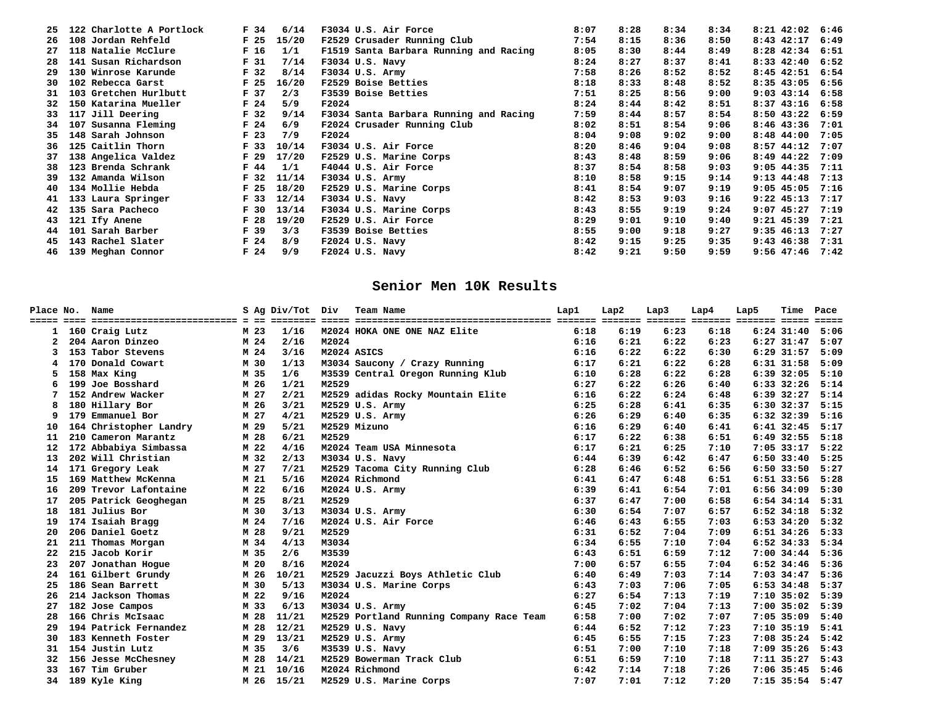| 25  | 122 Charlotte A Portlock | F <sub>34</sub> | 6/14  | F3034 U.S. Air Force                   | 8:07 | 8:28 | 8:34 | 8:34 | $8:21$ 42:02 6:46      |
|-----|--------------------------|-----------------|-------|----------------------------------------|------|------|------|------|------------------------|
| 26  | 108 Jordan Rehfeld       | F <sub>25</sub> | 15/20 | F2529 Crusader Running Club            | 7:54 | 8:15 | 8:36 | 8:50 | $8:43$ $42:17$<br>6:49 |
| 27  | 118 Natalie McClure      | F <sub>16</sub> | 1/1   | F1519 Santa Barbara Running and Racing | 8:05 | 8:30 | 8:44 | 8:49 | 8:28 42:34 6:51        |
| 28  | 141 Susan Richardson     | F <sub>31</sub> | 7/14  | F3034 U.S. Navy                        | 8:24 | 8:27 | 8:37 | 8:41 | $8:33$ 42:40 6:52      |
| 29  | 130 Winrose Karunde      | F <sub>32</sub> | 8/14  | F3034 U.S. Army                        | 7:58 | 8:26 | 8:52 | 8:52 | 8:45 42:51 6:54        |
| 30  | 102 Rebecca Garst        | F <sub>25</sub> | 16/20 | F2529 Boise Betties                    | 8:18 | 8:33 | 8:48 | 8:52 | $8:35$ 43:05<br>6:56   |
| 31  | 103 Gretchen Hurlbutt    | F <sub>37</sub> | 2/3   | F3539 Boise Betties                    | 7:51 | 8:25 | 8:56 | 9:00 | $9:03$ 43:14 6:58      |
|     | 32 150 Katarina Mueller  | F <sub>24</sub> | 5/9   | F2024                                  | 8:24 | 8:44 | 8:42 | 8:51 | $8:37$ 43:16 6:58      |
|     | 33 117 Jill Deering      | F <sub>32</sub> | 9/14  | F3034 Santa Barbara Running and Racing | 7:59 | 8:44 | 8:57 | 8:54 | 8:50 43:22 6:59        |
| 34. | 107 Susanna Fleming      | F <sub>24</sub> | 6/9   | F2024 Crusader Running Club            | 8:02 | 8:51 | 8:54 | 9:06 | $8:46$ 43:36<br>7:01   |
|     | 35 148 Sarah Johnson     | F <sub>23</sub> | 7/9   | F2024                                  | 8:04 | 9:08 | 9:02 | 9:00 | $8:48$ $44:00$<br>7:05 |
|     | 36 125 Caitlin Thorn     | F <sub>33</sub> | 10/14 | F3034 U.S. Air Force                   | 8:20 | 8:46 | 9:04 | 9:08 | $8:57$ 44:12<br>7:07   |
| 37  | 138 Angelica Valdez      | F <sub>29</sub> | 17/20 | F2529 U.S. Marine Corps                | 8:43 | 8:48 | 8:59 | 9:06 | $8:49$ $44:22$<br>7:09 |
|     | 38 123 Brenda Schrank    | F 44            | 1/1   | F4044 U.S. Air Force                   | 8:37 | 8:54 | 8:58 | 9:03 | $9:05$ 44:35<br>7:11   |
| 39  | 132 Amanda Wilson        | F <sub>32</sub> | 11/14 | F3034 U.S. Army                        | 8:10 | 8:58 | 9:15 | 9:14 | $9:13$ $44:48$<br>7:13 |
|     | 40 134 Mollie Hebda      | F <sub>25</sub> | 18/20 | F2529 U.S. Marine Corps                | 8:41 | 8:54 | 9:07 | 9:19 | $9:05$ 45:05<br>7:16   |
|     | 41 133 Laura Springer    | F <sub>33</sub> | 12/14 | F3034 U.S. Navy                        | 8:42 | 8:53 | 9:03 | 9:16 | $9:22$ $45:13$<br>7:17 |
|     | 42 135 Sara Pacheco      | F <sub>30</sub> | 13/14 | F3034 U.S. Marine Corps                | 8:43 | 8:55 | 9:19 | 9:24 | $9:07$ 45:27<br>7:19   |
|     | 43 121 Ify Anene         | F <sub>28</sub> | 19/20 | F2529 U.S. Air Force                   | 8:29 | 9:01 | 9:10 | 9:40 | $9:21$ $45:39$<br>7:21 |
| 44  | 101 Sarah Barber         | F 39            | 3/3   | F3539 Boise Betties                    | 8:55 | 9:00 | 9:18 | 9:27 | $9:35$ 46:13<br>7:27   |
|     | 45 143 Rachel Slater     | F <sub>24</sub> | 8/9   | $F2024$ U.S. Navy                      | 8:42 | 9:15 | 9:25 | 9:35 | $9:43$ $46:38$<br>7:31 |
|     | 46 139 Meghan Connor     | F <sub>24</sub> | 9/9   | $F2024$ U.S. Navy                      | 8:42 | 9:21 | 9:50 | 9:59 | $9:56$ 47:46 7:42      |

## **Senior Men 10K Results**

|                 | Place No. Name         |      | S Ag Div/Tot Div |             | Team Name                                                                                                      | Lap1 | Lap2 | Lap3 | Lap4 | Lap5 | Time                  | Pace |
|-----------------|------------------------|------|------------------|-------------|----------------------------------------------------------------------------------------------------------------|------|------|------|------|------|-----------------------|------|
|                 |                        |      |                  |             | ECONOMICAL CONTECT DE LES CONTECT CONTECT DESCRIPTIONS (CONTECTIONS CONTECTIVES CONTECTIVES) AND CONTECT CONTE |      |      |      |      |      |                       |      |
|                 | 160 Craig Lutz         | M 23 | 1/16             |             | M2024 HOKA ONE ONE NAZ Elite                                                                                   | 6:18 | 6:19 | 6:23 | 6:18 |      | $6:24$ 31:40          | 5:06 |
|                 | 204 Aaron Dinzeo       | M 24 | 2/16             | M2024       |                                                                                                                | 6:16 | 6:21 | 6:22 | 6:23 |      | $6:27$ $31:47$        | 5:07 |
|                 | 153 Tabor Stevens      | M 24 | 3/16             | M2024 ASICS |                                                                                                                | 6:16 | 6:22 | 6:22 | 6:30 |      | $6:29$ $31:57$        | 5:09 |
|                 | 170 Donald Cowart      | M 30 | 1/13             |             | M3034 Saucony / Crazy Running                                                                                  | 6:17 | 6:21 | 6:22 | 6:28 |      | 6:31 31:58            | 5:09 |
|                 | 158 Max King           | M 35 | 1/6              |             | M3539 Central Oregon Running Klub                                                                              | 6:10 | 6:28 | 6:22 | 6:28 |      | 6:39 32:05 5:10       |      |
| 6               | 199 Joe Bosshard       | M 26 | 1/21             | M2529       |                                                                                                                | 6:27 | 6:22 | 6:26 | 6:40 |      | 6:33 32:26 5:14       |      |
|                 | 152 Andrew Wacker      | M 27 | 2/21             |             | M2529 adidas Rocky Mountain Elite                                                                              | 6:16 | 6:22 | 6:24 | 6:48 |      | $6:39$ $32:27$        | 5:14 |
|                 | 180 Hillary Bor        | M 26 | 3/21             |             | M2529 U.S. Army                                                                                                | 6:25 | 6:28 | 6:41 | 6:35 |      | $6:30$ $32:37$        | 5:15 |
| 9               | 179 Emmanuel Bor       | M 27 | 4/21             |             | M2529 U.S. Army                                                                                                | 6:26 | 6:29 | 6:40 | 6:35 |      | $6:32$ $32:39$ $5:16$ |      |
| 10              | 164 Christopher Landry | M 29 | 5/21             |             | M2529 Mizuno                                                                                                   | 6:16 | 6:29 | 6:40 | 6:41 |      | $6:41$ 32:45          | 5:17 |
| 11              | 210 Cameron Marantz    | M 28 | 6/21             | M2529       |                                                                                                                | 6:17 | 6:22 | 6:38 | 6:51 |      | $6:49$ 32:55          | 5:18 |
| 12 <sub>1</sub> | 172 Abbabiya Simbassa  | M 22 | 4/16             |             | M2024 Team USA Minnesota                                                                                       | 6:17 | 6:21 | 6:25 | 7:10 |      | $7:05$ 33:17          | 5:22 |
| 13              | 202 Will Christian     | M 32 | 2/13             |             | M3034 U.S. Navy                                                                                                | 6:44 | 6:39 | 6:42 | 6:47 |      | $6:50$ 33:40          | 5:25 |
| 14              | 171 Gregory Leak       | M 27 | 7/21             |             | M2529 Tacoma City Running Club                                                                                 | 6:28 | 6:46 | 6:52 | 6:56 |      | 6:50 33:50 5:27       |      |
| 15              | 169 Matthew McKenna    | M 21 | 5/16             |             | M2024 Richmond                                                                                                 | 6:41 | 6:47 | 6:48 | 6:51 |      | $6:51$ 33:56          | 5:28 |
| 16              | 209 Trevor Lafontaine  | M 22 | 6/16             |             | M2024 U.S. Army                                                                                                | 6:39 | 6:41 | 6:54 | 7:01 |      | 6:56 34:09            | 5:30 |
| 17              | 205 Patrick Geoghegan  | M 25 | 8/21             | M2529       |                                                                                                                | 6:37 | 6:47 | 7:00 | 6:58 |      | $6:54$ 34:14          | 5:31 |
| 18              | 181 Julius Bor         | M 30 | 3/13             |             | M3034 U.S. Army                                                                                                | 6:30 | 6:54 | 7:07 | 6:57 |      | $6:52$ 34:18          | 5:32 |
| 19              | 174 Isaiah Bragg       | M 24 | 7/16             |             | M2024 U.S. Air Force                                                                                           | 6:46 | 6:43 | 6:55 | 7:03 |      | $6:53$ 34:20          | 5:32 |
| 20              | 206 Daniel Goetz       | M 28 | 9/21             | M2529       |                                                                                                                | 6:31 | 6:52 | 7:04 | 7:09 |      | 6:51 34:26 5:33       |      |
| 21              | 211 Thomas Morgan      | M 34 | 4/13             | M3034       |                                                                                                                | 6:34 | 6:55 | 7:10 | 7:04 |      | $6:52$ 34:33          | 5:34 |
| 22              | 215 Jacob Korir        | M 35 | 2/6              | M3539       |                                                                                                                | 6:43 | 6:51 | 6:59 | 7:12 |      | 7:00 34:44 5:36       |      |
| 23              | 207 Jonathan Hogue     | M 20 | 8/16             | M2024       |                                                                                                                | 7:00 | 6:57 | 6:55 | 7:04 |      | $6:52$ 34:46 5:36     |      |
| 24              | 161 Gilbert Grundy     | M 26 | 10/21            |             | M2529 Jacuzzi Boys Athletic Club                                                                               | 6:40 | 6:49 | 7:03 | 7:14 |      | 7:03 34:47 5:36       |      |
| 25              | 186 Sean Barrett       | M 30 | 5/13             |             | M3034 U.S. Marine Corps                                                                                        | 6:43 | 7:03 | 7:06 | 7:05 |      | 6:53 34:48 5:37       |      |
| 26              | 214 Jackson Thomas     | M 22 | 9/16             | M2024       |                                                                                                                | 6:27 | 6:54 | 7:13 | 7:19 |      | 7:10 35:02 5:39       |      |
| 27              | 182 Jose Campos        | M 33 | 6/13             |             | M3034 U.S. Army                                                                                                | 6:45 | 7:02 | 7:04 | 7:13 |      | 7:00 35:02 5:39       |      |
| 28              | 166 Chris McIsaac      | M 28 | 11/21            |             | M2529 Portland Running Company Race Team                                                                       | 6:58 | 7:00 | 7:02 | 7:07 |      | $7:05$ 35:09          | 5:40 |
|                 | 194 Patrick Fernandez  | M 28 | 12/21            |             | M2529 U.S. Navy                                                                                                | 6:44 | 6:52 | 7:12 | 7:23 |      | 7:10 35:19 5:41       |      |
| 30.             | 183 Kenneth Foster     | M 29 | 13/21            |             | M2529 U.S. Army                                                                                                | 6:45 | 6:55 | 7:15 | 7:23 |      | 7:08 35:24            | 5:42 |
| 31              | 154 Justin Lutz        | M 35 | 3/6              |             | M3539 U.S. Navy                                                                                                | 6:51 | 7:00 | 7:10 | 7:18 |      | 7:09 35:26 5:43       |      |
| 32              | 156 Jesse McChesney    | M 28 | 14/21            |             | M2529 Bowerman Track Club                                                                                      | 6:51 | 6:59 | 7:10 | 7:18 |      | 7:11 35:27 5:43       |      |
| 33              | 167 Tim Gruber         | M 21 | 10/16            |             | M2024 Richmond                                                                                                 | 6:42 | 7:14 | 7:18 | 7:26 |      | $7:06$ 35:45          | 5:46 |
| 34              | 189 Kyle King          |      | M 26 15/21       |             | M2529 U.S. Marine Corps                                                                                        | 7:07 | 7:01 | 7:12 | 7:20 |      | 7:15 35:54 5:47       |      |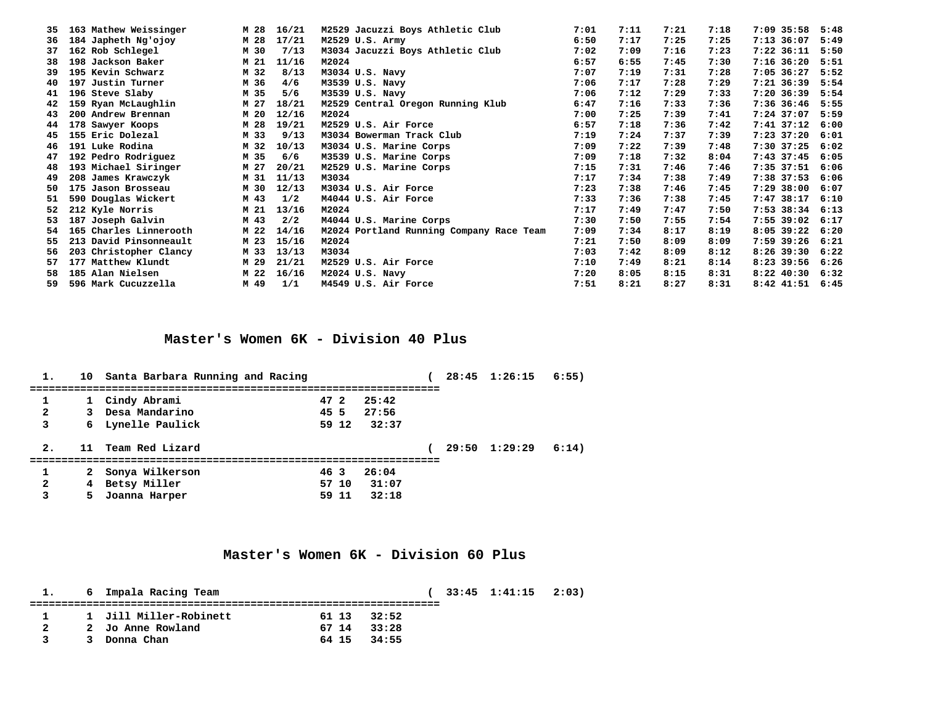| 163 Mathew Weissinger     | M 28 | 16/21 | M2529 Jacuzzi Boys Athletic Club         | 7:01 | 7:11 | 7:21 | 7:18 | $7:09$ 35:58   | 5:48                               |
|---------------------------|------|-------|------------------------------------------|------|------|------|------|----------------|------------------------------------|
| 184 Japheth Ng'ojoy       | M 28 | 17/21 | M2529 U.S. Army                          | 6:50 | 7:17 | 7:25 | 7:25 | $7:13$ 36:07   | 5:49                               |
| 162 Rob Schlegel          | M 30 | 7/13  | M3034 Jacuzzi Boys Athletic Club         | 7:02 | 7:09 | 7:16 | 7:23 | $7:22$ $36:11$ | 5:50                               |
| 198 Jackson Baker         | M 21 | 11/16 | M2024                                    | 6:57 | 6:55 | 7:45 | 7:30 | $7:16$ 36:20   | 5:51                               |
| 195 Kevin Schwarz         | M 32 | 8/13  | M3034 U.S. Navy                          | 7:07 | 7:19 | 7:31 | 7:28 | $7:05$ 36:27   | 5:52                               |
| 197 Justin Turner<br>40   | M 36 | 4/6   | M3539 U.S. Navy                          | 7:06 | 7:17 | 7:28 | 7:29 | $7:21$ 36:39   | 5:54                               |
| 41 196 Steve Slaby        | M 35 | 5/6   | M3539 U.S. Navy                          | 7:06 | 7:12 | 7:29 | 7:33 | $7:20$ 36:39   | 5:54                               |
| 159 Ryan McLaughlin<br>42 | M 27 | 18/21 | M2529 Central Oregon Running Klub        | 6:47 | 7:16 | 7:33 | 7:36 | 7:36 36:46     | 5:55                               |
| 200 Andrew Brennan<br>43  | M 20 | 12/16 | M2024                                    | 7:00 | 7:25 | 7:39 | 7:41 | 7:24 37:07     | 5:59                               |
| 178 Sawyer Koops          | M 28 | 19/21 | M2529 U.S. Air Force                     | 6:57 | 7:18 | 7:36 | 7:42 | $7:41$ $37:12$ | 6:00                               |
| 45 155 Eric Dolezal       | M 33 | 9/13  | M3034 Bowerman Track Club                | 7:19 | 7:24 | 7:37 | 7:39 | 7:23 37:20     | 6:01                               |
| 191 Luke Rodina<br>46     | M 32 | 10/13 | M3034 U.S. Marine Corps                  | 7:09 | 7:22 | 7:39 | 7:48 | $7:30$ 37:25   | 6:02                               |
| 192 Pedro Rodriguez<br>47 | M 35 | 6/6   | M3539 U.S. Marine Corps                  | 7:09 | 7:18 | 7:32 | 8:04 | 7:43 37:45     | 6:05                               |
| 193 Michael Siringer      | M 27 | 20/21 | M2529 U.S. Marine Corps                  | 7:15 | 7:31 | 7:46 | 7:46 | $7:35$ $37:51$ | 6:06                               |
| 208 James Krawczyk        | M 31 | 11/13 | M3034                                    | 7:17 | 7:34 | 7:38 | 7:49 | 7:38 37:53     | 6:06                               |
| 175 Jason Brosseau        | M 30 | 12/13 | M3034 U.S. Air Force                     | 7:23 | 7:38 | 7:46 | 7:45 | $7:29$ 38:00   | 6:07                               |
| 590 Douglas Wickert<br>51 | M 43 | 1/2   | M4044 U.S. Air Force                     | 7:33 | 7:36 | 7:38 | 7:45 | $7:47$ 38:17   | 6:10                               |
| 212 Kyle Norris           | M 21 | 13/16 | M2024                                    | 7:17 | 7:49 | 7:47 | 7:50 | 7:53 38:34     | 6:13                               |
| 187 Joseph Galvin         | M 43 | 2/2   | M4044 U.S. Marine Corps                  | 7:30 | 7:50 | 7:55 | 7:54 |                |                                    |
| 165 Charles Linnerooth    | M 22 | 14/16 | M2024 Portland Running Company Race Team | 7:09 | 7:34 | 8:17 | 8:19 | $8:05$ 39:22   | 6:20                               |
| 213 David Pinsonneault    | M 23 | 15/16 | M2024                                    | 7:21 | 7:50 | 8:09 | 8:09 | 7:59 39:26     | 6:21                               |
| 203 Christopher Clancy    | M 33 | 13/13 | M3034                                    | 7:03 | 7:42 | 8:09 | 8:12 | $8:26$ 39:30   | 6:22                               |
| 177 Matthew Klundt        | M 29 | 21/21 | M2529 U.S. Air Force                     | 7:10 | 7:49 | 8:21 | 8:14 | $8:23$ 39:56   | 6:26                               |
| 185 Alan Nielsen          | M 22 | 16/16 | M2024 U.S. Navy                          | 7:20 | 8:05 | 8:15 | 8:31 | $8:22$ $40:30$ | 6:32                               |
| 596 Mark Cucuzzella       | M 49 | 1/1   | M4549 U.S. Air Force                     | 7:51 | 8:21 | 8:27 | 8:31 |                |                                    |
|                           |      |       |                                          |      |      |      |      |                | 7:55 39:02 6:17<br>8:42 41:51 6:45 |

## **Master's Women 6K - Division 40 Plus**

| 1.             |    | 10 Santa Barbara Running and Racing |      |       |       |  | 28:45 1:26:15         | 6:55) |
|----------------|----|-------------------------------------|------|-------|-------|--|-----------------------|-------|
|                |    | 1 Cindy Abrami                      | 47 2 |       | 25:42 |  |                       |       |
| $\overline{a}$ |    | 3 Desa Mandarino                    | 45 5 |       | 27:56 |  |                       |       |
| 3              |    | 6 Lynelle Paulick                   |      | 59 12 | 32:37 |  |                       |       |
| 2.             |    | 11 Team Red Lizard                  |      |       |       |  | $29:50 \quad 1:29:29$ | 6:14) |
|                |    |                                     |      |       |       |  |                       |       |
|                |    | 2 Sonya Wilkerson                   | 46 3 |       | 26:04 |  |                       |       |
| $\overline{a}$ |    | 4 Betsy Miller                      |      | 57 10 | 31:07 |  |                       |       |
| 3              | 5. | Joanna Harper                       |      | 59 11 | 32:18 |  |                       |       |

## **Master's Women 6K - Division 60 Plus**

|              | 1. 6 Impala Racing Team |             |  | $(33:45 \t1:41:15 \t2:03)$ |  |
|--------------|-------------------------|-------------|--|----------------------------|--|
| $\mathbf{1}$ | 1 Jill Miller-Robinett  | 61 13 32:52 |  |                            |  |
| 2            | 2 Jo Anne Rowland       | 67 14 33:28 |  |                            |  |
|              | 3 Donna Chan            | 64 15 34:55 |  |                            |  |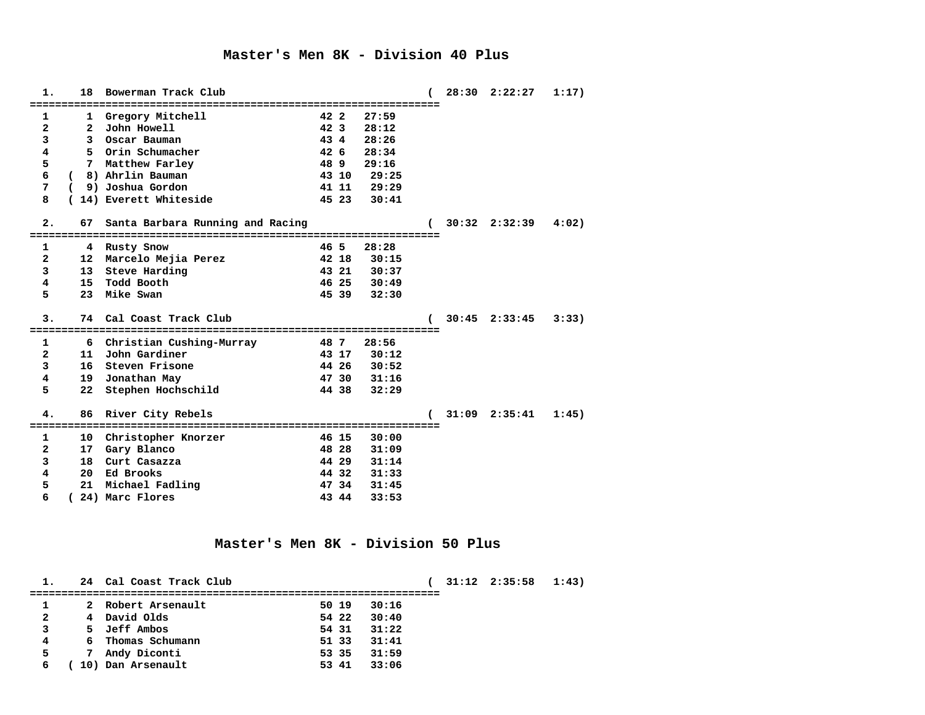#### **Master's Men 8K - Division 40 Plus**

| 1.                      | 18              | Bowerman Track Club                |                 |       |       |  | $28:30$ $2:22:27$     | 1:17) |
|-------------------------|-----------------|------------------------------------|-----------------|-------|-------|--|-----------------------|-------|
|                         |                 |                                    |                 |       |       |  |                       |       |
| 1                       |                 | 1 Gregory Mitchell                 | 42 2            |       | 27:59 |  |                       |       |
| $\overline{a}$          | $\mathbf{2}$    | John Howell                        | 42 <sub>3</sub> |       | 28:12 |  |                       |       |
| 3                       |                 | 3 Oscar Bauman                     | 43 4            |       | 28:26 |  |                       |       |
| $\overline{\mathbf{4}}$ | 5.              | Orin Schumacher                    | $42\quad6$      |       | 28:34 |  |                       |       |
| 5                       | 7               | Matthew Farley                     | 489             |       | 29:16 |  |                       |       |
| 6                       | - 6             | 8) Ahrlin Bauman                   |                 | 43 10 | 29:25 |  |                       |       |
| 7                       | <sup>-</sup>    | 9) Joshua Gordon                   |                 | 41 11 | 29:29 |  |                       |       |
| 8                       |                 | 14) Everett Whiteside              |                 | 45 23 | 30:41 |  |                       |       |
| 2.                      | 67              | Santa Barbara Running and Racing   |                 |       |       |  | $30:32 \quad 2:32:39$ | 4:02) |
|                         |                 |                                    |                 |       |       |  |                       |       |
| 1                       |                 | 4 Rusty Snow                       | 46 5            |       | 28:28 |  |                       |       |
| $\overline{a}$          |                 | 12 Marcelo Mejia Perez             |                 | 42 18 | 30:15 |  |                       |       |
| 3                       | 13 <sup>7</sup> | Steve Harding                      |                 | 43 21 | 30:37 |  |                       |       |
| 4                       | 15              | Todd Booth                         |                 | 46 25 | 30:49 |  |                       |       |
| 5                       | 23              | Mike Swan                          |                 | 45 39 | 32:30 |  |                       |       |
| 3.                      |                 | 74 Cal Coast Track Club            |                 |       |       |  | $30:45$ $2:33:45$     | 3:33) |
|                         |                 |                                    |                 |       |       |  |                       |       |
| 1                       |                 | 6 Christian Cushing-Murray<br>48 7 |                 |       | 28:56 |  |                       |       |
| $\overline{a}$          | 11              | John Gardiner                      |                 | 43 17 | 30:12 |  |                       |       |
| 3                       | 16 <sup>1</sup> | Steven Frisone                     |                 | 44 26 | 30:52 |  |                       |       |
| 4                       | 19              | Jonathan May                       |                 | 47 30 | 31:16 |  |                       |       |
| 5                       | 22              | Stephen Hochschild                 |                 | 44 38 | 32:29 |  |                       |       |
| 4.                      |                 | 86 River City Rebels               |                 |       |       |  | $31:09$ $2:35:41$     | 1:45) |
|                         |                 | ===========================        |                 |       |       |  |                       |       |
|                         |                 |                                    |                 |       |       |  |                       |       |
| 1                       |                 | 10 Christopher Knorzer             |                 | 46 15 | 30:00 |  |                       |       |
| $\overline{a}$          | 17              | Gary Blanco                        |                 | 48 28 | 31:09 |  |                       |       |
| 3                       |                 | 18 Curt Casazza                    |                 | 44 29 | 31:14 |  |                       |       |
| 4                       |                 | 20 Ed Brooks                       |                 | 44 32 | 31:33 |  |                       |       |
| 5                       | 21              | Michael Fadling                    |                 | 47 34 | 31:45 |  |                       |       |
| 6                       |                 | 24) Marc Flores                    |                 | 43 44 | 33:53 |  |                       |       |

#### **Master's Men 8K - Division 50 Plus**

**1. 24 Cal Coast Track Club ( 31:12 2:35:58 1:43) ================================================================= 1 2 Robert Arsenault 50 19 30:16 2 4 David Olds 54 22 30:40 3 5 Jeff Ambos 54 31 31:22 4 6 Thomas Schumann 51 33 31:41 5 7 Andy Diconti 53 35 31:59 6 ( 10) Dan Arsenault 53 41 33:06**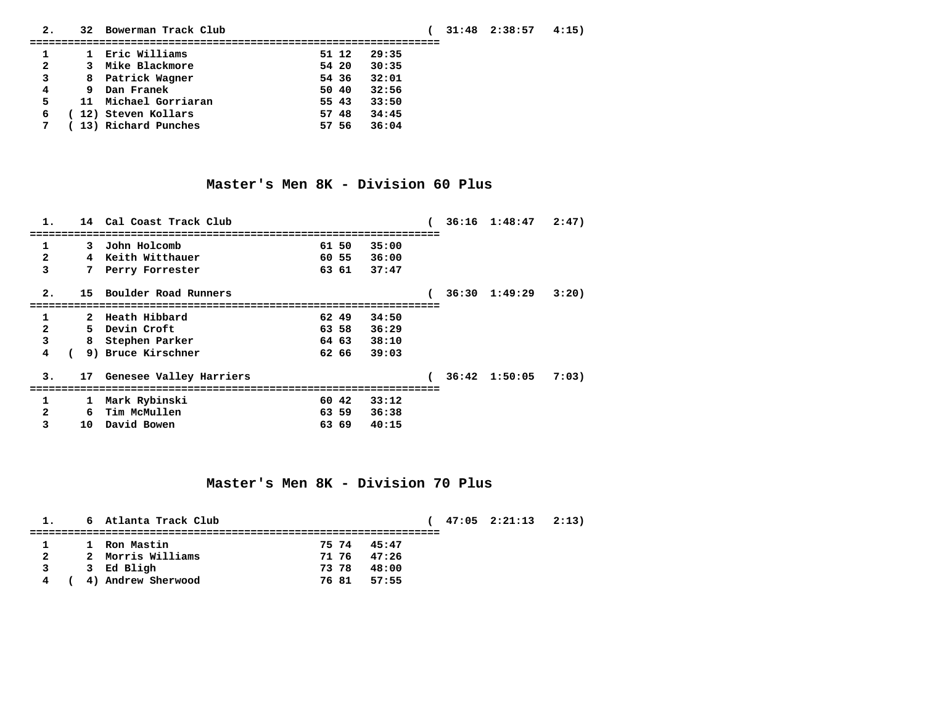| 2.                      | 32 | Bowerman Track Club    |       |       | $31:48$ $2:38:57$ | 4:15) |  |
|-------------------------|----|------------------------|-------|-------|-------------------|-------|--|
|                         |    |                        |       |       |                   |       |  |
|                         |    | 1 Eric Williams        | 51 12 | 29:35 |                   |       |  |
| $\overline{\mathbf{2}}$ |    | 3 Mike Blackmore       | 54 20 | 30:35 |                   |       |  |
| 3                       |    | 8 Patrick Wagner       | 54 36 | 32:01 |                   |       |  |
| $4\overline{ }$         |    | 9 Dan Franek           | 50 40 | 32:56 |                   |       |  |
| 5                       |    | 11 Michael Gorriaran   | 55 43 | 33:50 |                   |       |  |
| 6                       |    | 12) Steven Kollars     | 57 48 | 34:45 |                   |       |  |
|                         |    | 7 (13) Richard Punches | 57 56 | 36:04 |                   |       |  |
|                         |    |                        |       |       |                   |       |  |

## **Master's Men 8K - Division 60 Plus**

| 1.                      |              | 14 Cal Coast Track Club    |                 |       |  | $36:16$ $1:48:47$ $2:47$ |       |
|-------------------------|--------------|----------------------------|-----------------|-------|--|--------------------------|-------|
|                         |              |                            | =============== |       |  |                          |       |
| 1                       | 3            | John Holcomb               | 61 50           | 35:00 |  |                          |       |
| $\overline{\mathbf{2}}$ |              | 4 Keith Witthauer          | 60 55           | 36:00 |  |                          |       |
| 3                       |              | 7 Perry Forrester          | 63 61           | 37:47 |  |                          |       |
| 2.                      |              | 15 Boulder Road Runners    |                 |       |  | $36:30 \quad 1:49:29$    | 3:20  |
| 1                       |              | 2 Heath Hibbard            | 62 49           | 34:50 |  |                          |       |
| $\overline{a}$          |              | 5 Devin Croft              | 63 58           | 36:29 |  |                          |       |
| 3                       | 8            | Stephen Parker             | 64 63           | 38:10 |  |                          |       |
| 4                       |              | 9) Bruce Kirschner         | 62 66           | 39:03 |  |                          |       |
| 3.                      |              | 17 Genesee Valley Harriers |                 |       |  | $36:42$ 1:50:05          | 7:03) |
| 1                       | $\mathbf{1}$ | Mark Rybinski              | 60 42           | 33:12 |  |                          |       |
| $\mathbf{2}$            | 6            | Tim McMullen               | 63 59           | 36:38 |  |                          |       |
| 3                       | 10           | David Bowen                | 63 69           | 40:15 |  |                          |       |

### **Master's Men 8K - Division 70 Plus**

|              | 1. 6 Atlanta Track Club |             |       | $47:05$ $2:21:13$ $2:13$ |  |
|--------------|-------------------------|-------------|-------|--------------------------|--|
|              | 1 Ron Mastin            | 75 74 45:47 |       |                          |  |
| $\mathbf{2}$ | 2 Morris Williams       | 71 76 47:26 |       |                          |  |
| $\mathbf{3}$ | 3 Ed Bligh              | 7378        | 48:00 |                          |  |
|              | 4 (4) Andrew Sherwood   | 76 81 57:55 |       |                          |  |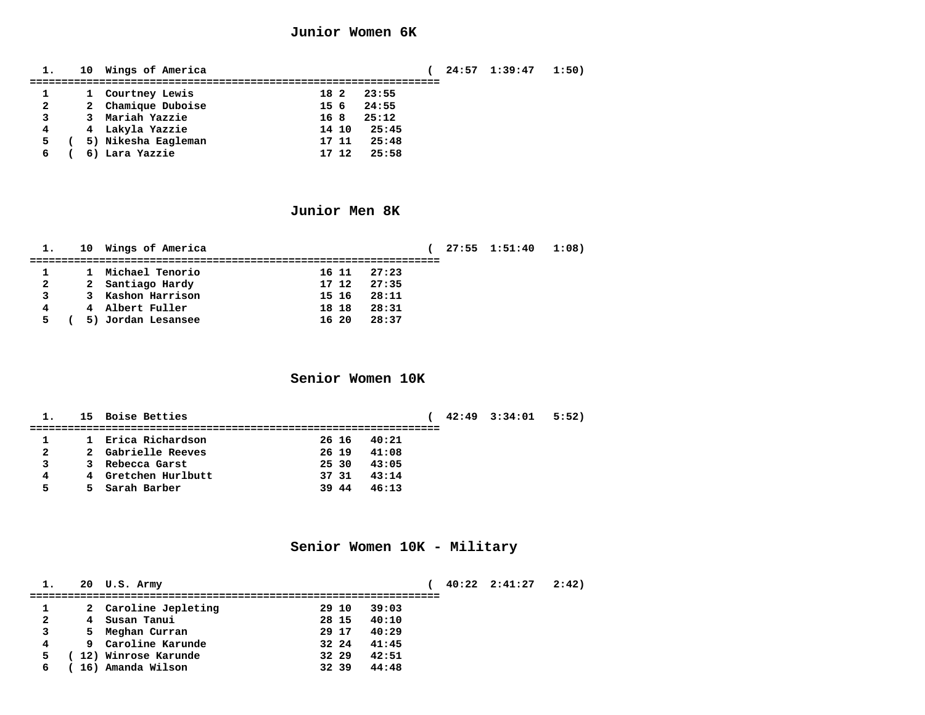#### **Junior Women 6K**

**1. 10 Wings of America ( 24:57 1:39:47 1:50) ================================================================= 1 1 Courtney Lewis 18 2 23:55 2 2 Chamique Duboise 15 6 24:55 3 3 Mariah Yazzie 16 8 25:12 4 4 Lakyla Yazzie 14 10 25:45 5 ( 5) Nikesha Eagleman 17 11 25:48 6 ( 6) Lara Yazzie 17 12 25:58**

#### **Junior Men 8K**

|              | 10 Wings of America |       |       | 27:55 1:51:40 1:08) |  |
|--------------|---------------------|-------|-------|---------------------|--|
|              | 1 Michael Tenorio   | 16 11 | 27:23 |                     |  |
| $\mathbf{2}$ | 2 Santiago Hardy    | 17 12 | 27:35 |                     |  |
| 3            | 3 Kashon Harrison   | 15 16 | 28:11 |                     |  |
|              | 4 Albert Fuller     | 18 18 | 28:31 |                     |  |
|              | 5) Jordan Lesansee  | 16 20 | 28:37 |                     |  |

### **Senior Women 10K**

**1. 15 Boise Betties ( 42:49 3:34:01 5:52) ================================================================= 1 1 Erica Richardson 26 16 40:21 2 2 Gabrielle Reeves 26 19 41:08 3 3 Rebecca Garst 25 30 43:05 4 4 Gretchen Hurlbutt 37 31 43:14 5 5 Sarah Barber 39 44 46:13**

#### **Senior Women 10K - Military**

|              | 20 U.S. Army         |       |       |  | $40:22$ $2:41:27$ | 2:42) |
|--------------|----------------------|-------|-------|--|-------------------|-------|
|              |                      |       |       |  |                   |       |
|              | 2 Caroline Jepleting | 29 10 | 39:03 |  |                   |       |
| $\mathbf{2}$ | 4 Susan Tanui        | 28 15 | 40:10 |  |                   |       |
| 3            | 5 Meghan Curran      | 29 17 | 40:29 |  |                   |       |
| 4            | 9 Caroline Karunde   | 32 24 | 41:45 |  |                   |       |
|              | 12) Winrose Karunde  | 32 29 | 42:51 |  |                   |       |
|              | 16) Amanda Wilson    | 32 39 | 44:48 |  |                   |       |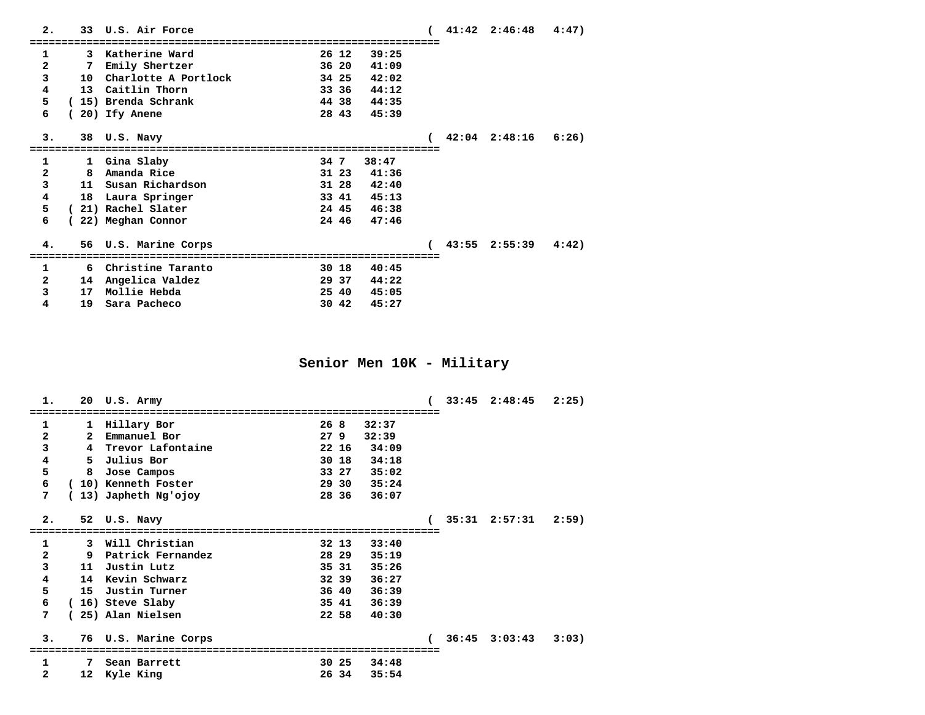| 2.                      |            |    | 33 U.S. Air Force       |       |       |  | $41:42$ $2:46:48$ $4:47$ |  |
|-------------------------|------------|----|-------------------------|-------|-------|--|--------------------------|--|
|                         |            |    |                         |       |       |  |                          |  |
| 1                       |            |    | 3 Katherine Ward        | 26 12 | 39:25 |  |                          |  |
| $\overline{a}$          |            | 7  | Emily Shertzer          | 36 20 | 41:09 |  |                          |  |
| 3                       |            |    | 10 Charlotte A Portlock | 34 25 | 42:02 |  |                          |  |
| 4                       |            |    | 13 Caitlin Thorn        | 33 36 | 44:12 |  |                          |  |
| 5                       |            |    | (15) Brenda Schrank     | 4438  | 44:35 |  |                          |  |
| 6                       |            |    | 20) Ify Anene           | 28 43 | 45:39 |  |                          |  |
|                         |            |    |                         |       |       |  |                          |  |
| з.                      |            |    | 38 U.S. Navy            |       |       |  | $42:04$ $2:48:16$ $6:26$ |  |
|                         |            |    |                         |       |       |  |                          |  |
| $\mathbf{1}$            |            |    | 1 Gina Slaby            | 34 7  | 38:47 |  |                          |  |
| $\overline{\mathbf{2}}$ |            | 8  | Amanda Rice             | 31 23 | 41:36 |  |                          |  |
| 3                       |            |    | 11 Susan Richardson     | 31 28 | 42:40 |  |                          |  |
| $\overline{\textbf{4}}$ |            |    | 18 Laura Springer       | 33 41 | 45:13 |  |                          |  |
| 5                       | $\epsilon$ |    | 21) Rachel Slater       | 24 45 | 46:38 |  |                          |  |
| 6                       |            |    | 22) Meghan Connor       | 24 46 | 47:46 |  |                          |  |
|                         |            |    |                         |       |       |  |                          |  |
| 4.                      |            |    | 56 U.S. Marine Corps    |       |       |  | $43:55$ $2:55:39$ $4:42$ |  |
|                         |            |    |                         |       |       |  |                          |  |
| $\mathbf 1$             |            |    | 6 Christine Taranto     | 30 18 | 40:45 |  |                          |  |
| $\mathbf{2}$            |            |    | 14 Angelica Valdez      | 29 37 | 44:22 |  |                          |  |
| 3                       |            | 17 | Mollie Hebda            | 25 40 | 45:05 |  |                          |  |
| 4                       |            | 19 | Sara Pacheco            | 30 42 | 45:27 |  |                          |  |

**Senior Men 10K - Military**

| 2:25)                    |
|--------------------------|
|                          |
|                          |
|                          |
|                          |
|                          |
|                          |
|                          |
| 2:59)                    |
|                          |
|                          |
|                          |
|                          |
|                          |
|                          |
|                          |
|                          |
|                          |
| $36:45$ $3:03:43$ $3:03$ |
|                          |
|                          |